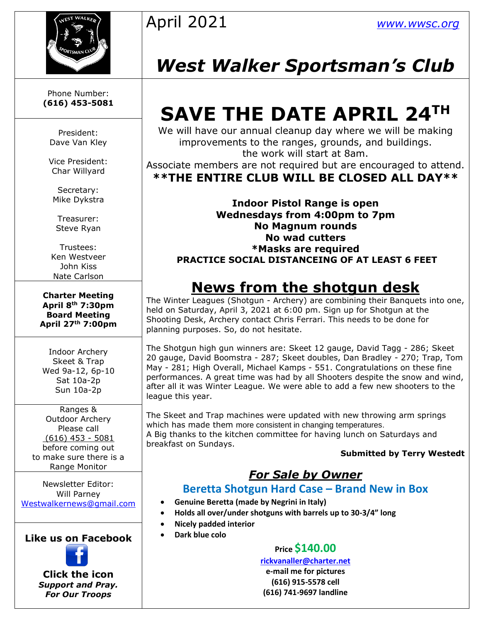

Phone Number: **(616) 453-5081**

President: Dave Van Kley

Vice President: Char Willyard

Secretary: Mike Dykstra

Treasurer: Steve Ryan

Trustees: Ken Westveer John Kiss Nate Carlson

**Charter Meeting April 8th 7:30pm Board Meeting April 27th 7:00pm**

Indoor Archery Skeet & Trap Wed 9a-12, 6p-10 Sat 10a-2p Sun 10a-2p

Ranges & Outdoor Archery Please call (616) 453 - 5081 before coming out to make sure there is a Range Monitor

Newsletter Editor: Will Parney [Westwalkernews@gmail.com](mailto:Westwalkernews@gmail.com)

**Like us on Facebook**



**Click [the](http://commons.wikimedia.org/wiki/file:facebook_shiny_icon.svg) icon** *Suppo[rt an](http://commons.wikimedia.org/wiki/file:facebook_shiny_icon.svg)d Pray. For O[ur](http://commons.wikimedia.org/wiki/file:facebook_shiny_icon.svg) Troops*

## April 2021 *[www.wwsc.org](http://www.wwsc.org/)*

## *West Walker Sportsman's Club*

# **SAVE THE DATE APRIL 24TH**

We will have our annual cleanup day where we will be making improvements to the ranges, grounds, and buildings. the work will start at 8am.

Associate members are not required but are encouraged to attend. **\*\*THE ENTIRE CLUB WILL BE CLOSED ALL DAY\*\***

**Indoor Pistol Range is open Wednesdays from 4:00pm to 7pm No Magnum rounds No wad cutters \*Masks are required PRACTICE SOCIAL DISTANCEING OF AT LEAST 6 FEET**

## **News from the shotgun desk**

The Winter Leagues (Shotgun - Archery) are combining their Banquets into one, held on Saturday, April 3, 2021 at 6:00 pm. Sign up for Shotgun at the Shooting Desk, Archery contact Chris Ferrari. This needs to be done for planning purposes. So, do not hesitate.

The Shotgun high gun winners are: Skeet 12 gauge, David Tagg - 286; Skeet 20 gauge, David Boomstra - 287; Skeet doubles, Dan Bradley - 270; Trap, Tom May - 281; High Overall, Michael Kamps - 551. Congratulations on these fine performances. A great time was had by all Shooters despite the snow and wind, after all it was Winter League. We were able to add a few new shooters to the league this year.

The Skeet and Trap machines were updated with new throwing arm springs which has made them more consistent in changing temperatures. A Big thanks to the kitchen committee for having lunch on Saturdays and breakfast on Sundays.

#### **Submitted by Terry Westedt**

#### *For Sale by Owner*

#### **Beretta Shotgun Hard Case – Brand New in Box**

- **Genuine Beretta (made by Negrini in Italy)**
- **Holds all over/under shotguns with barrels up to 30-3/4" long**
- **Nicely padded interior**
- **Dark blue colo**

#### **Price \$140.00**

**[rickvanaller@charter.net](mailto:rickvanaller@charter.net) e-mail me for pictures**

**(616) 915-5578 cell (616) 741-9697 landline**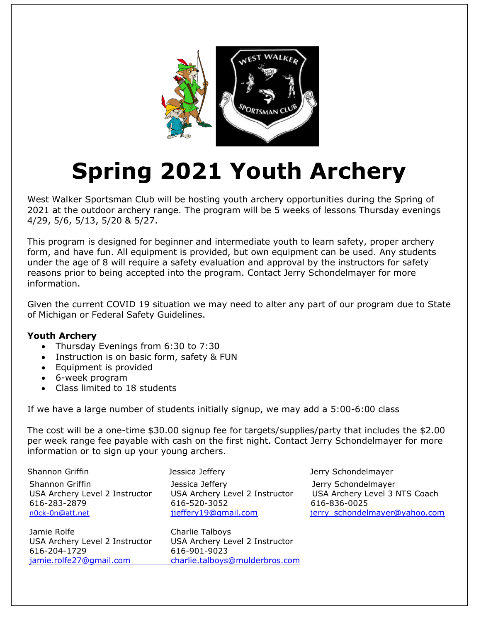

# **Spring 2021 Youth Archery**

West Walker Sportsman Club will be hosting youth archery opportunities during the Spring of 2021 at the outdoor archery range. The program will be 5 weeks of lessons Thursday evenings 4/29, 5/6, 5/13, 5/20 & 5/27.

This program is designed for beginner and intermediate youth to learn safety, proper archery form, and have fun. All equipment is provided, but own equipment can be used. Any students under the age of 8 will require a safety evaluation and approval by the instructors for safety reasons prior to being accepted into the program. Contact Jerry Schondelmayer for more information.

Given the current COVID 19 situation we may need to alter any part of our program due to State of Michigan or Federal Safety Guidelines.

#### **Youth Archery**

- Thursday Evenings from 6:30 to 7:30
- Instruction is on basic form, safety & FUN
- Equipment is provided
- 6-week program
- •Class limited to 18 students

If we have a large number of students initially signup, we may add a 5:00-6:00 class

The cost will be a one-time \$30.00 signup fee for targets/supplies/party that includes the \$2.00 per week range fee payable with cash on the first night. Contact Jerry Schondelmayer for more information or to sign up your young archers.

| Shannon Griffin                                                                      | Jessica Jeffery                                                                           | Jerry Schondelmayer                                                                                   |  |  |
|--------------------------------------------------------------------------------------|-------------------------------------------------------------------------------------------|-------------------------------------------------------------------------------------------------------|--|--|
| Shannon Griffin<br>USA Archery Level 2 Instructor<br>616-283-2879<br>n0ck-0n@att.net | Jessica Jeffery<br>USA Archery Level 2 Instructor<br>616-520-3052<br>jjeffery19@gmail.com | Jerry Schondelmayer<br>USA Archery Level 3 NTS Coach<br>616-836-0025<br>jerry schondelmayer@yahoo.com |  |  |
| Jamie Rolfe<br>USA Archery Level 2 Instructor                                        | Charlie Talboys<br>USA Archery Level 2 Instructor                                         |                                                                                                       |  |  |

jamie.rolfe27@gmail.com charlie.talboys@mulderbros.com 616-204-1729 616-901-9023

[jamie.rolfe27@gmail.com](mailto:jamie.rolfe27@gmail.com) [charlie.talboys@mulderbros.com](mailto:charlie.talboys@mulderbros.com)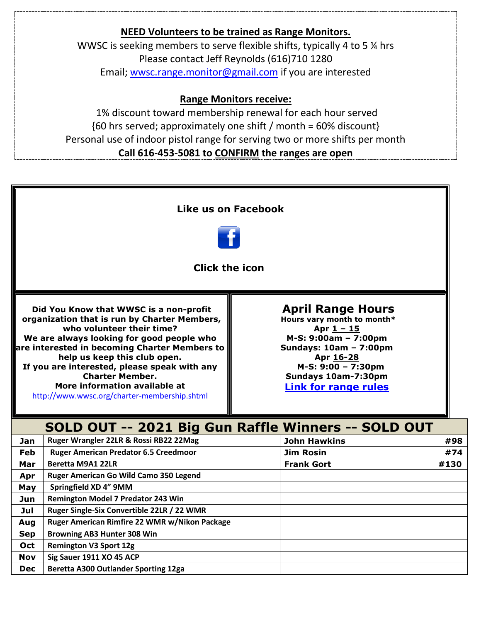### **NEED Volunteers to be trained as Range Monitors.** WWSC is seeking members to serve flexible shifts, typically 4 to 5 ¼ hrs Please contact Jeff Reynolds (616)710 1280 Email; [wwsc.range.monitor@gmail.com](mailto:wwsc.range.monitor@gmail.com) if you are interested

#### **Range Monitors receive:**

1% discount toward membership renewal for each hour served {60 hrs served; approximately one shift / month = 60% discount} Personal use of indoor pistol range for serving two or more shifts per month **Call 616-453-5081 to CONFIRM the ranges are open**